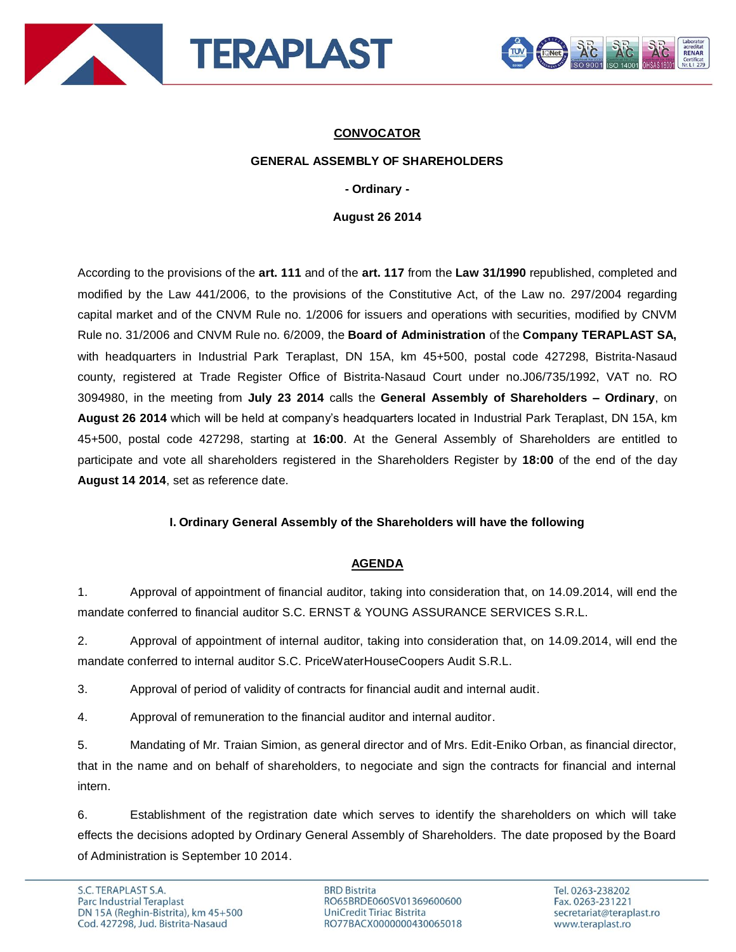



# **CONVOCATOR**

### **GENERAL ASSEMBLY OF SHAREHOLDERS**

#### **- Ordinary -**

**August 26 2014**

According to the provisions of the **art. 111** and of the **art. 117** from the **Law 31/1990** republished, completed and modified by the Law 441/2006, to the provisions of the Constitutive Act, of the Law no. 297/2004 regarding capital market and of the CNVM Rule no. 1/2006 for issuers and operations with securities, modified by CNVM Rule no. 31/2006 and CNVM Rule no. 6/2009, the **Board of Administration** of the **Company TERAPLAST SA,** with headquarters in Industrial Park Teraplast, DN 15A, km 45+500, postal code 427298, Bistrita-Nasaud county, registered at Trade Register Office of Bistrita-Nasaud Court under no.J06/735/1992, VAT no. RO 3094980, in the meeting from **July 23 2014** calls the **General Assembly of Shareholders – Ordinary**, on **August 26 2014** which will be held at company's headquarters located in Industrial Park Teraplast, DN 15A, km 45+500, postal code 427298, starting at **16:00**. At the General Assembly of Shareholders are entitled to participate and vote all shareholders registered in the Shareholders Register by **18:00** of the end of the day **August 14 2014**, set as reference date.

## **I. Ordinary General Assembly of the Shareholders will have the following**

#### **AGENDA**

1. Approval of appointment of financial auditor, taking into consideration that, on 14.09.2014, will end the mandate conferred to financial auditor S.C. ERNST & YOUNG ASSURANCE SERVICES S.R.L.

2. Approval of appointment of internal auditor, taking into consideration that, on 14.09.2014, will end the mandate conferred to internal auditor S.C. PriceWaterHouseCoopers Audit S.R.L.

3. Approval of period of validity of contracts for financial audit and internal audit.

4. Approval of remuneration to the financial auditor and internal auditor.

5. Mandating of Mr. Traian Simion, as general director and of Mrs. Edit-Eniko Orban, as financial director, that in the name and on behalf of shareholders, to negociate and sign the contracts for financial and internal intern.

6. Establishment of the registration date which serves to identify the shareholders on which will take effects the decisions adopted by Ordinary General Assembly of Shareholders. The date proposed by the Board of Administration is September 10 2014.

**BRD Bistrita** RO65BRDE060SV01369600600 UniCredit Tiriac Bistrita RO77BACX0000000430065018

Tel. 0263-238202 Fax. 0263-231221 secretariat@teraplast.ro www.teraplast.ro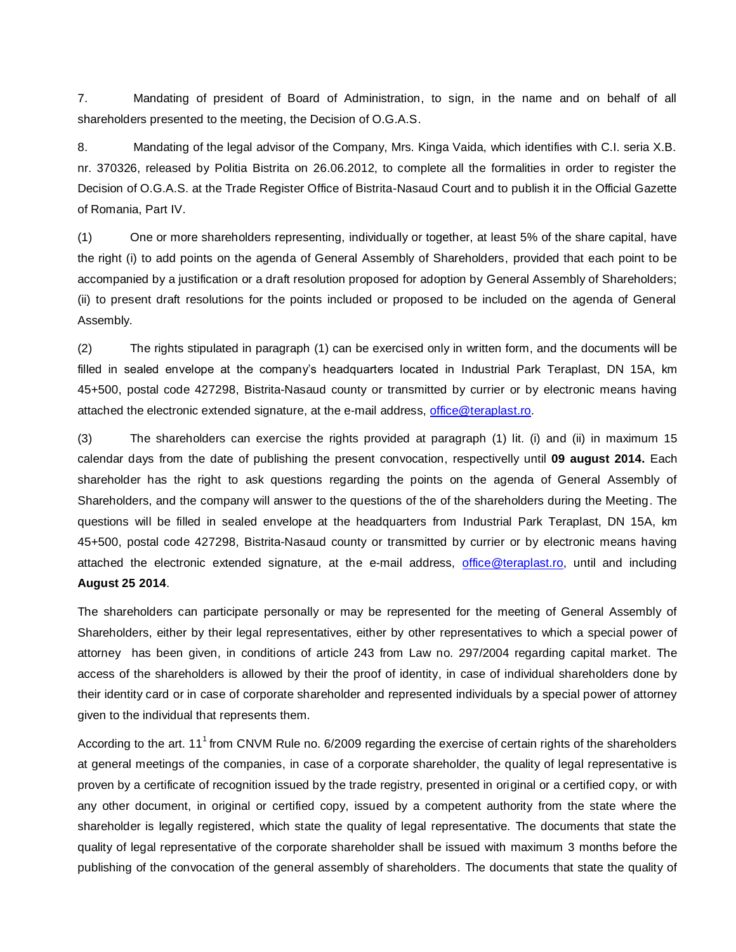7. Mandating of president of Board of Administration, to sign, in the name and on behalf of all shareholders presented to the meeting, the Decision of O.G.A.S.

8. Mandating of the legal advisor of the Company, Mrs. Kinga Vaida, which identifies with C.I. seria X.B. nr. 370326, released by Politia Bistrita on 26.06.2012, to complete all the formalities in order to register the Decision of O.G.A.S. at the Trade Register Office of Bistrita-Nasaud Court and to publish it in the Official Gazette of Romania, Part IV.

(1) One or more shareholders representing, individually or together, at least 5% of the share capital, have the right (i) to add points on the agenda of General Assembly of Shareholders, provided that each point to be accompanied by a justification or a draft resolution proposed for adoption by General Assembly of Shareholders; (ii) to present draft resolutions for the points included or proposed to be included on the agenda of General Assembly.

(2) The rights stipulated in paragraph (1) can be exercised only in written form, and the documents will be filled in sealed envelope at the company's headquarters located in Industrial Park Teraplast, DN 15A, km 45+500, postal code 427298, Bistrita-Nasaud county or transmitted by currier or by electronic means having attached the electronic extended signature, at the e-mail address, [office@teraplast.ro.](mailto:office@teraplast.ro)

(3) The shareholders can exercise the rights provided at paragraph (1) lit. (i) and (ii) in maximum 15 calendar days from the date of publishing the present convocation, respectivelly until **09 august 2014.** Each shareholder has the right to ask questions regarding the points on the agenda of General Assembly of Shareholders, and the company will answer to the questions of the of the shareholders during the Meeting. The questions will be filled in sealed envelope at the headquarters from Industrial Park Teraplast, DN 15A, km 45+500, postal code 427298, Bistrita-Nasaud county or transmitted by currier or by electronic means having attached the electronic extended signature, at the e-mail address, [office@teraplast.ro,](mailto:office@teraplast.ro) until and including **August 25 2014**.

The shareholders can participate personally or may be represented for the meeting of General Assembly of Shareholders, either by their legal representatives, either by other representatives to which a special power of attorney has been given, in conditions of article 243 from Law no. 297/2004 regarding capital market. The access of the shareholders is allowed by their the proof of identity, in case of individual shareholders done by their identity card or in case of corporate shareholder and represented individuals by a special power of attorney given to the individual that represents them.

According to the art.  $11<sup>1</sup>$  from CNVM Rule no. 6/2009 regarding the exercise of certain rights of the shareholders at general meetings of the companies, in case of a corporate shareholder, the quality of legal representative is proven by a certificate of recognition issued by the trade registry, presented in original or a certified copy, or with any other document, in original or certified copy, issued by a competent authority from the state where the shareholder is legally registered, which state the quality of legal representative. The documents that state the quality of legal representative of the corporate shareholder shall be issued with maximum 3 months before the publishing of the convocation of the general assembly of shareholders. The documents that state the quality of